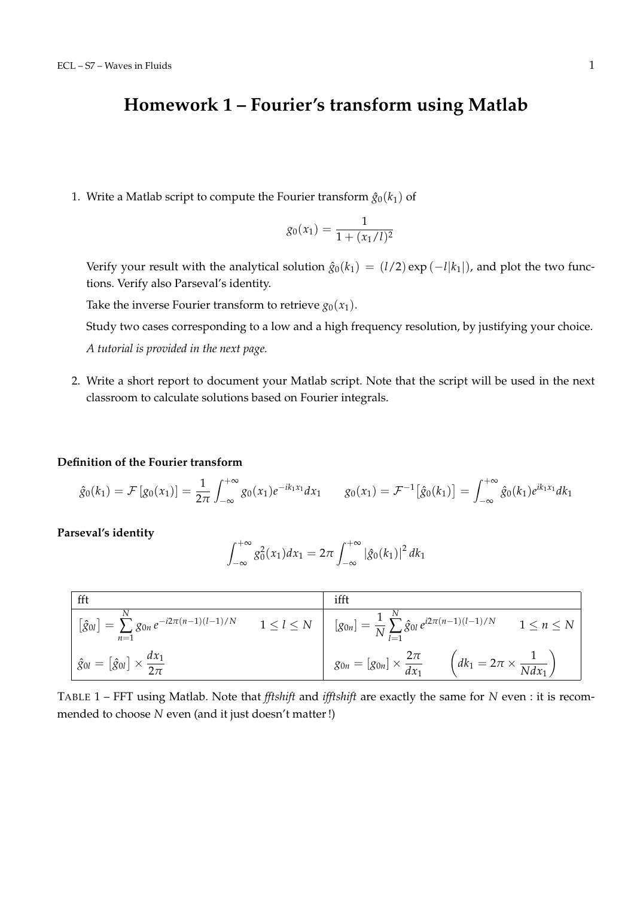## **Homework 1 – Fourier's transform using Matlab**

1. Write a Matlab script to compute the Fourier transform  $\hat{g}_0(k_1)$  of

$$
g_0(x_1) = \frac{1}{1 + (x_1/l)^2}
$$

Verify your result with the analytical solution  $\hat{g}_0(k_1) = (l/2) \exp(-l|k_1|)$ , and plot the two functions. Verify also Parseval's identity.

Take the inverse Fourier transform to retrieve  $g_0(x_1)$ .

Study two cases corresponding to a low and a high frequency resolution, by justifying your choice. *A tutorial is provided in the next page.*

2. Write a short report to document your Matlab script. Note that the script will be used in the next classroom to calculate solutions based on Fourier integrals.

## **Definition of the Fourier transform**

$$
\hat{g}_0(k_1) = \mathcal{F}\left[g_0(x_1)\right] = \frac{1}{2\pi} \int_{-\infty}^{+\infty} g_0(x_1) e^{-ik_1x_1} dx_1 \qquad g_0(x_1) = \mathcal{F}^{-1}\left[\hat{g}_0(k_1)\right] = \int_{-\infty}^{+\infty} \hat{g}_0(k_1) e^{ik_1x_1} dk_1
$$

**Parseval's identity**

$$
\int_{-\infty}^{+\infty} g_0^2(x_1) dx_1 = 2\pi \int_{-\infty}^{+\infty} |\hat{g}_0(k_1)|^2 dk_1
$$

| fft                                                                                          |                   | ifft                                                                                                  |
|----------------------------------------------------------------------------------------------|-------------------|-------------------------------------------------------------------------------------------------------|
| $\mathcal{L} = \sum g_{0n} e^{-i2\pi(n-1)(l-1)/N}$<br>$\lfloor \hat g_{0l} \rfloor$<br>$n=1$ | $1 \leq l \leq N$ | $[g_{0n}] = \frac{1}{N} \sum_{i=1}^{N} \hat{g}_{0i} e^{i2\pi(n-1)(l-1)/N}$<br>$1 \leq n \leq N$<br>Ξ. |
| $\hat{g}_{0l} = [\hat{g}_{0l}] \times \frac{dx_1}{2\pi}$                                     |                   | $g_{0n} = [g_{0n}] \times \frac{2\pi}{dx_1}$<br>$\left(dk_1=2\pi\times\frac{1}{Ndx_1}\right)$         |

TABLE 1 – FFT using Matlab. Note that *fftshift* and *ifftshift* are exactly the same for *N* even : it is recommended to choose *N* even (and it just doesn't matter !)